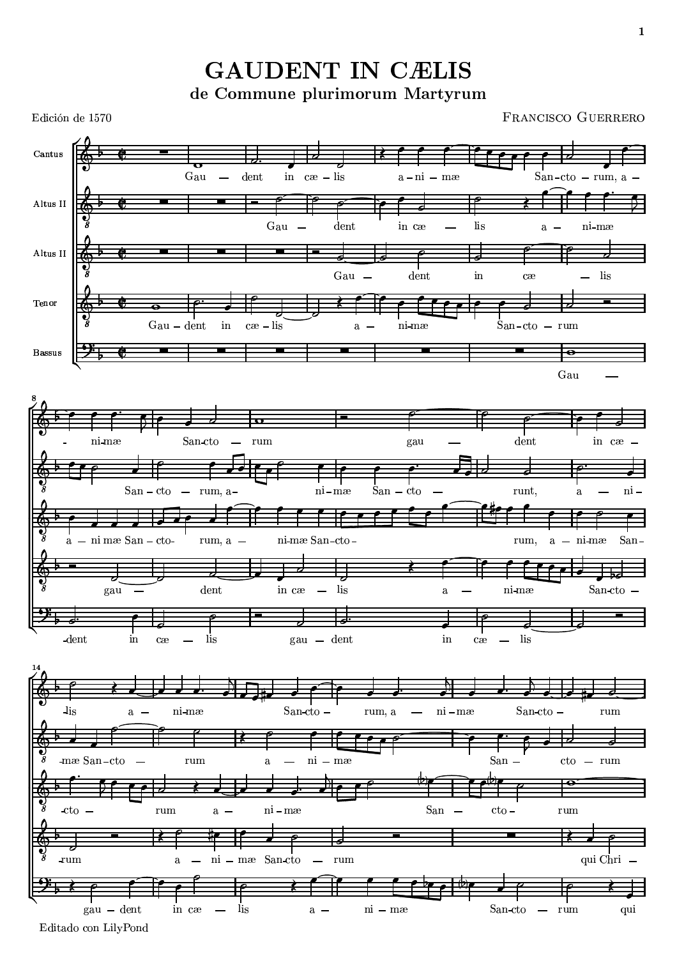**GAUDENT IN CÆLIS** de Commune plurimorum Martyrum



Editado con LilyPond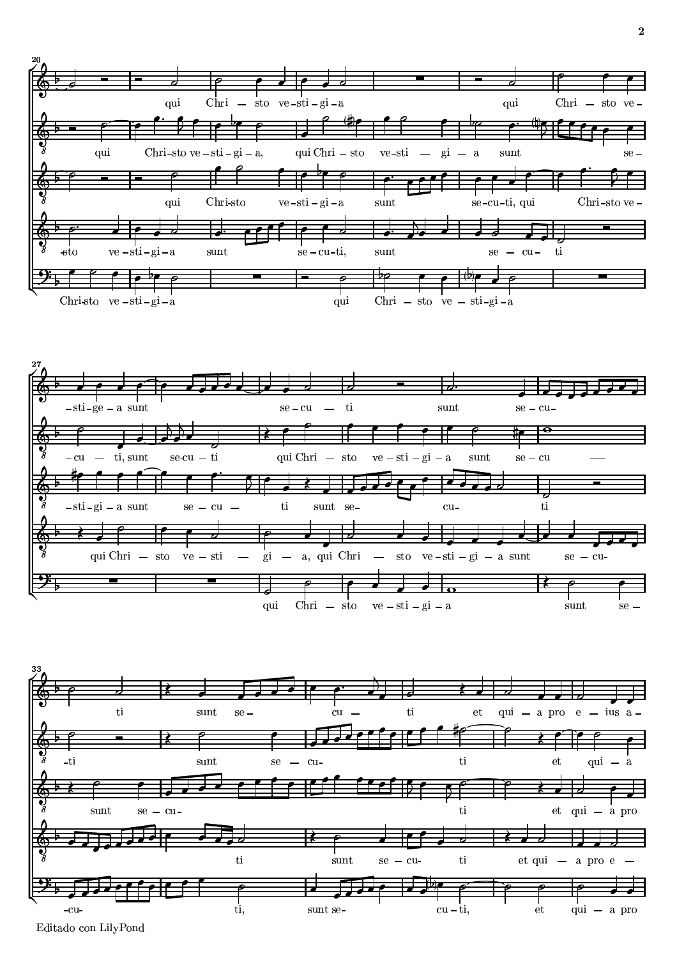





/U032 <sup>u</sup>07 4798 2 v53780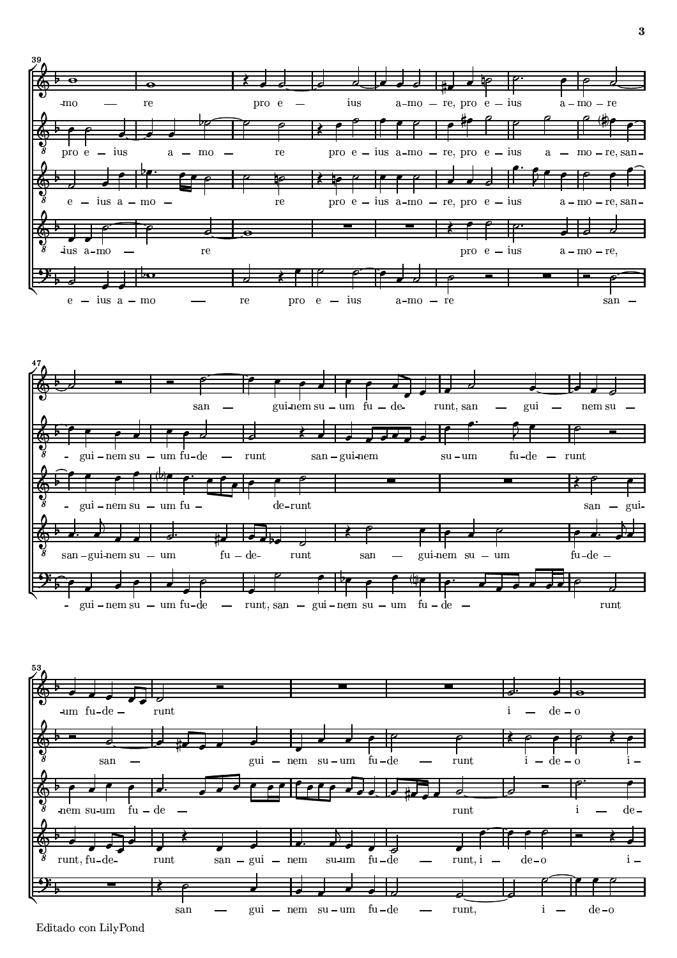





Editado con LilyPond